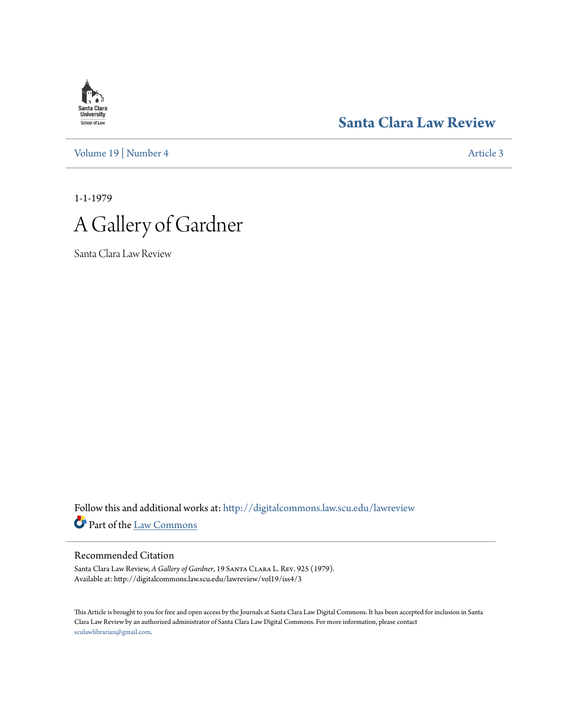# **Santa Clara**<br>**University** School of Law

**[Santa Clara Law Review](http://digitalcommons.law.scu.edu/lawreview?utm_source=digitalcommons.law.scu.edu%2Flawreview%2Fvol19%2Fiss4%2F3&utm_medium=PDF&utm_campaign=PDFCoverPages)**

[Volume 19](http://digitalcommons.law.scu.edu/lawreview/vol19?utm_source=digitalcommons.law.scu.edu%2Flawreview%2Fvol19%2Fiss4%2F3&utm_medium=PDF&utm_campaign=PDFCoverPages) | [Number 4](http://digitalcommons.law.scu.edu/lawreview/vol19/iss4?utm_source=digitalcommons.law.scu.edu%2Flawreview%2Fvol19%2Fiss4%2F3&utm_medium=PDF&utm_campaign=PDFCoverPages) [Article 3](http://digitalcommons.law.scu.edu/lawreview/vol19/iss4/3?utm_source=digitalcommons.law.scu.edu%2Flawreview%2Fvol19%2Fiss4%2F3&utm_medium=PDF&utm_campaign=PDFCoverPages)

1-1-1979



Santa Clara Law Review

Follow this and additional works at: [http://digitalcommons.law.scu.edu/lawreview](http://digitalcommons.law.scu.edu/lawreview?utm_source=digitalcommons.law.scu.edu%2Flawreview%2Fvol19%2Fiss4%2F3&utm_medium=PDF&utm_campaign=PDFCoverPages) Part of the [Law Commons](http://network.bepress.com/hgg/discipline/578?utm_source=digitalcommons.law.scu.edu%2Flawreview%2Fvol19%2Fiss4%2F3&utm_medium=PDF&utm_campaign=PDFCoverPages)

# Recommended Citation

Santa Clara Law Review, *A Gallery of Gardner*, 19 Santa Clara L. Rev. 925 (1979). Available at: http://digitalcommons.law.scu.edu/lawreview/vol19/iss4/3

This Article is brought to you for free and open access by the Journals at Santa Clara Law Digital Commons. It has been accepted for inclusion in Santa Clara Law Review by an authorized administrator of Santa Clara Law Digital Commons. For more information, please contact [sculawlibrarian@gmail.com](mailto:sculawlibrarian@gmail.com).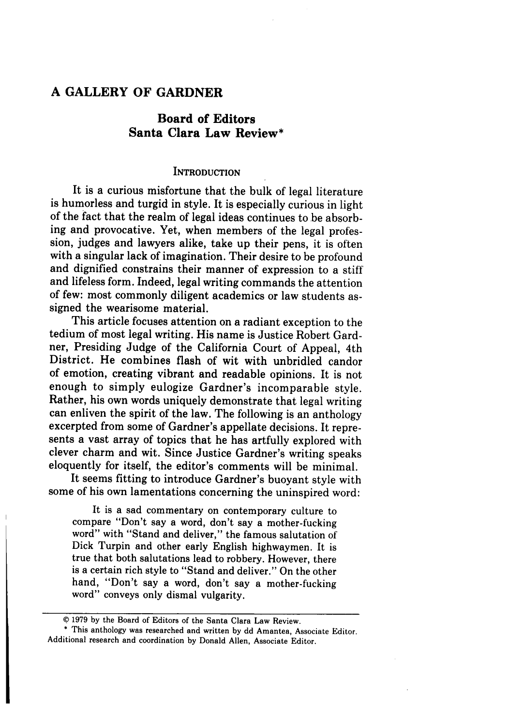# **A GALLERY OF GARDNER**

# **Board of Editors Santa Clara Law Review\***

### **INTRODUCTION**

It is a curious misfortune that the bulk of legal literature is humorless and turgid in style. It is especially curious in light of the fact that the realm of legal ideas continues to be absorbing and provocative. Yet, when members of the legal profession, judges and lawyers alike, take up their pens, it is often with a singular lack of imagination. Their desire to be profound and dignified constrains their manner of expression to a stiff' and lifeless form. Indeed, legal writing commands the attention of few: most commonly diligent academics or law students assigned the wearisome material.

This article focuses attention on a radiant exception to the tedium of most legal writing. His name is Justice Robert Gardner, Presiding Judge of the California Court of Appeal, 4th District. He combines flash of wit with unbridled candor of emotion, creating vibrant and readable opinions. It is not enough to simply eulogize Gardner's incomparable style. Rather, his own words uniquely demonstrate that legal writing can enliven the spirit of the law. The following is an anthology excerpted from some of Gardner's appellate decisions. It represents a vast array of topics that he has artfully explored with clever charm and wit. Since Justice Gardner's writing speaks eloquently for itself, the editor's comments will be minimal.

It seems fitting to introduce Gardner's buoyant style with some of his own lamentations concerning the uninspired word:

It is a sad commentary on contemporary culture to compare "Don't say a word, don't say a mother-fucking word" with "Stand and deliver," the famous salutation of Dick Turpin and other early English highwaymen. It is true that both salutations lead to robbery. However, there is a certain rich style to "Stand and deliver." On the other hand, "Don't say a word, don't say a mother-fucking word" conveys only dismal vulgarity.

\* This anthology was researched and written by dd Amantea, Associate Editor. Additional research and coordination by Donald Allen, Associate Editor.

<sup>© 1979</sup> by the Board of Editors of the Santa Clara Law Review.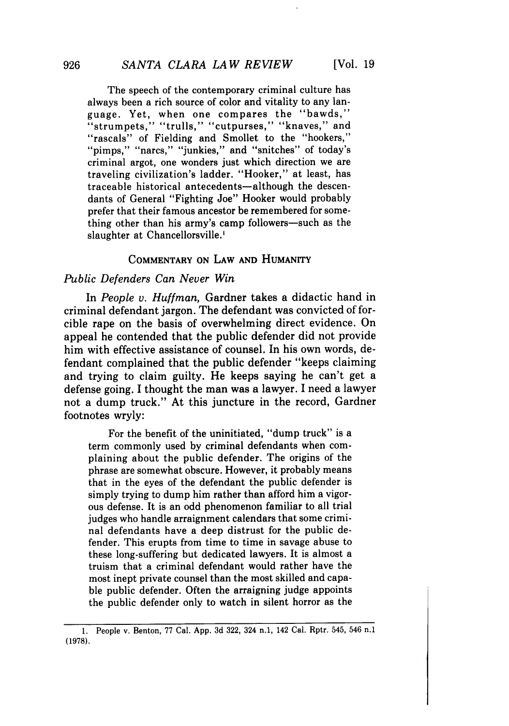The speech of the contemporary criminal culture has always been a rich source of color and vitality to any language. Yet, when one compares the "bawds," "strumpets," "trulls," "cutpurses," "knaves," and "rascals" of Fielding and Smollet to the "hookers," "pimps," "narcs," "junkies," and "snitches" of today's criminal argot, one wonders just which direction we are traveling civilization's ladder. "Hooker," at least, has traceable historical antecedents-although the descendants of General "Fighting Joe" Hooker would probably prefer that their famous ancestor be remembered for some-

thing other than his army's camp followers-such as the slaughter at Chancellorsville.'

# **COMMENTARY ON LAW AND HUMANITY**

## *Public Defenders Can Never Win*

In *People v. Huffman,* Gardner takes a didactic hand in criminal defendant jargon. The defendant was convicted of forcible rape on the basis of overwhelming direct evidence. On appeal he contended that the public defender did not provide him with effective assistance of counsel. In his own words, defendant complained that the public defender "keeps claiming and trying to claim guilty. He keeps saying he can't get a defense going. I thought the man was a lawyer. I need a lawyer not a dump truck." At this juncture in the record, Gardner footnotes wryly:

For the benefit of the uninitiated, "dump truck" is a term commonly used **by** criminal defendants when complaining about the public defender. The origins of the phrase are somewhat obscure. However, it probably means that in the eyes of the defendant the public defender is simply trying to dump him rather than afford him a vigorous defense. It is an odd phenomenon familiar to all trial judges who handle arraignment calendars that some criminal defendants have a deep distrust for the public defender. This erupts from time to time in savage abuse to these long-suffering but dedicated lawyers. It is almost a truism that a criminal defendant would rather have the most inept private counsel than the most skilled and capable public defender. Often the arraigning judge appoints the public defender only to watch in silent horror as the

**<sup>1.</sup>** People v. Benton, **77** Cal. **App. 3d 322,** 324 n.1, 142 Cal. Rptr. 545, 546 n.1 **(1978).**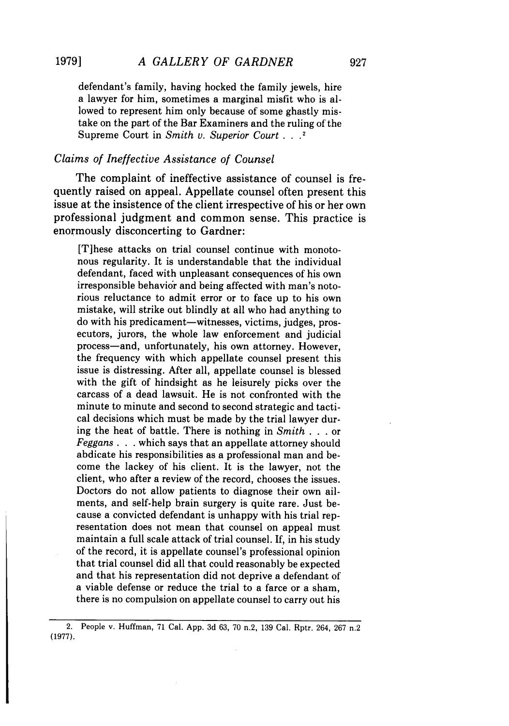defendant's family, having hocked the family jewels, hire a lawyer for him, sometimes a marginal misfit who is allowed to represent him only because of some ghastly mistake on the part of the Bar Examiners and the ruling of the Supreme Court in *Smith v. Superior Court...2*

### *Claims of Ineffective Assistance of Counsel*

The complaint of ineffective assistance of counsel is frequently raised on appeal. Appellate counsel often present this issue at the insistence of the client irrespective of his or her own professional judgment and common sense. This practice is enormously disconcerting to Gardner:

[T]hese attacks on trial counsel continue with monotonous regularity. It is understandable that the individual defendant, faced with unpleasant consequences of his own irresponsible behavior and being affected with man's notorious reluctance to admit error or to face up to his own mistake, will strike out blindly at all who had anything to do with his predicament-witnesses, victims, judges, prosecutors, jurors, the whole law enforcement and judicial process-and, unfortunately, his own attorney. However, the frequency with which appellate counsel present this issue is distressing. After all, appellate counsel is blessed with the gift of hindsight as he leisurely picks over the carcass of a dead lawsuit. He is not confronted with the minute to minute and second to second strategic and tactical decisions which must be made by the trial lawyer during the heat of battle. There is nothing in *Smith* **. .** . or *Feggans.* **.** . which says that an appellate attorney should abdicate his responsibilities as a professional man and become the lackey of his client. It is the lawyer, not the client, who after a review of the record, chooses the issues. Doctors do not allow patients to diagnose their own ailments, and self-help brain surgery is quite rare. Just because a convicted defendant is unhappy with his trial representation does not mean that counsel on appeal must maintain a full scale attack of trial counsel. If, in his study of the record, it is appellate counsel's professional opinion that trial counsel did all that could reasonably be expected and that his representation did not deprive a defendant of a viable defense or reduce the trial to a farce or a sham, there is no compulsion on appellate counsel to carry out his

<sup>2.</sup> People v. Huffman, 71 Cal. App. 3d 63, 70 n.2, 139 Cal. Rptr. 264, 267 n.2 (1977).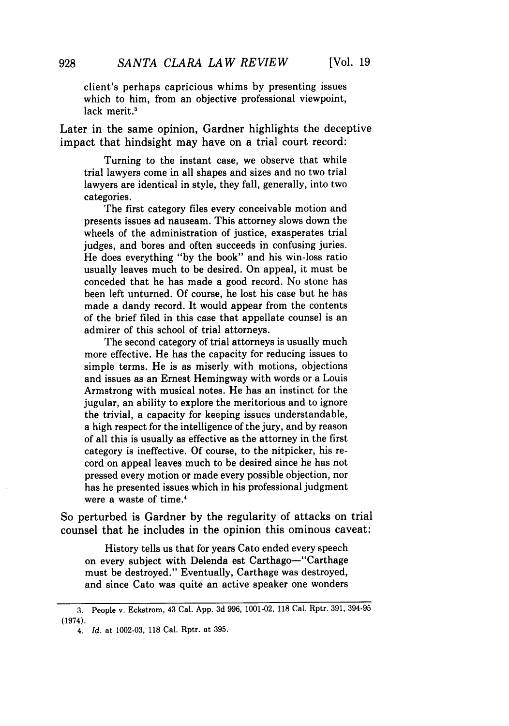client's perhaps capricious whims by presenting issues which to him, from an objective professional viewpoint, lack merit.<sup>3</sup>

Later in the same opinion, Gardner highlights the deceptive impact that hindsight may have on a trial court record:

Turning to the instant case, we observe that while trial lawyers come in all shapes and sizes and no two trial lawyers are identical in style, they fall, generally, into two categories.

The first category files every conceivable motion and presents issues ad nauseam. This attorney slows down the wheels of the administration of justice, exasperates trial judges, and bores and often succeeds in confusing juries. He does everything "by the book" and his win-loss ratio usually leaves much to be desired. On appeal, it must be conceded that he has made a good record. No stone has been left unturned. Of course, he lost his case but he has made a dandy record. It would appear from the contents of the brief filed in this case that appellate counsel is an admirer of this school of trial attorneys.

The second category of trial attorneys is usually much more effective. He has the capacity for reducing issues to simple terms. He is as miserly with motions, objections and issues as an Ernest Hemingway with words or a Louis Armstrong with musical notes. He has an instinct for the jugular, an ability to explore the meritorious and to ignore the trivial, a capacity for keeping issues understandable, a high respect for the intelligence of the jury, and by reason of all this is usually as effective as the attorney in the first category is ineffective. Of course, to the nitpicker, his record on appeal leaves much to be desired since he has not pressed every motion or made every possible objection, nor has he presented issues which in his professional judgment were a waste of time.4

So perturbed is Gardner by the regularity of attacks on trial counsel that he includes in the opinion this ominous caveat:

History tells us that for years Cato ended every speech on every subject with Delenda est Carthago-"Carthage must be destroyed." Eventually, Carthage was destroyed, and since Cato was quite an active speaker one wonders

928

<sup>3.</sup> People v. Eckstrom, 43 Cal. App. 3d 996, 1001-02, 118 Cal. Rptr. 391, 394-95 (1974).

<sup>4.</sup> *Id.* at 1002-03, 118 Cal. Rptr. at 395.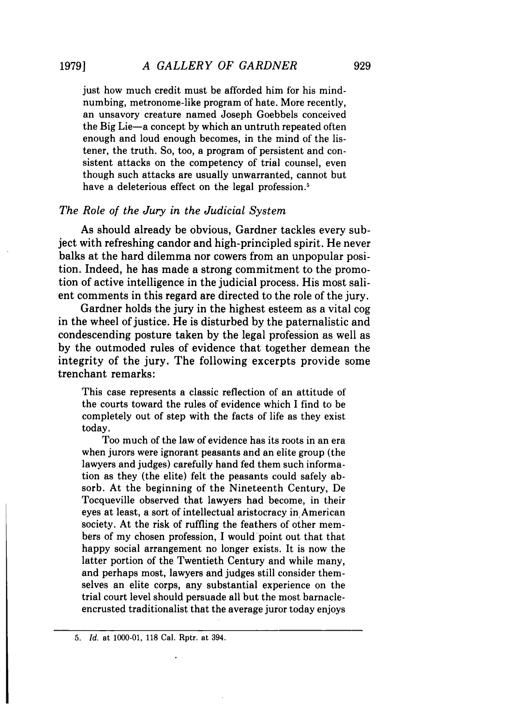just how much credit must be afforded him for his mindnumbing, metronome-like program of hate. More recently, an unsavory creature named Joseph Goebbels conceived the Big Lie-a concept by which an untruth repeated often enough and loud enough becomes, in the mind of the listener, the truth. So, too, a program of persistent and consistent attacks on the competency of trial counsel, even though such attacks are usually unwarranted, cannot but have a deleterious effect on the legal profession.<sup>5</sup>

### *The Role of the Jury in the Judicial System*

As should already be obvious, Gardner tackles every subject with refreshing candor and high-principled spirit. He never balks at the hard dilemma nor cowers from an unpopular position. Indeed, he has made a strong commitment to the promotion of active intelligence in the judicial process. His most salient comments in this regard are directed to the role of the jury.

Gardner holds the jury in the highest esteem as a vital cog in the wheel of justice. He is disturbed by the paternalistic and condescending posture taken by the legal profession as well as by the outmoded rules of evidence that together demean the integrity of the jury. The following excerpts provide some trenchant remarks:

This case represents a classic reflection of an attitude of' the courts toward the rules of evidence which I find to be completely out of step with the facts of life as they exist today.

Too much of the law of evidence has its roots in an era when jurors were ignorant peasants and an elite group (the lawyers and judges) carefully hand fed them such information as they (the elite) felt the peasants could safely absorb. At the beginning of the Nineteenth Century, De Tocqueville observed that lawyers had become, in their eyes at least, a sort of intellectual aristocracy in American society. At the risk of ruffling the feathers of other members of my chosen profession, I would point out that that happy social arrangement no longer exists. It is now the latter portion of the Twentieth Century and while many, and perhaps most, lawyers and judges still consider themselves an elite corps, any substantial experience on the trial court level should persuade all but the most barnacleencrusted traditionalist that the average juror today enjoys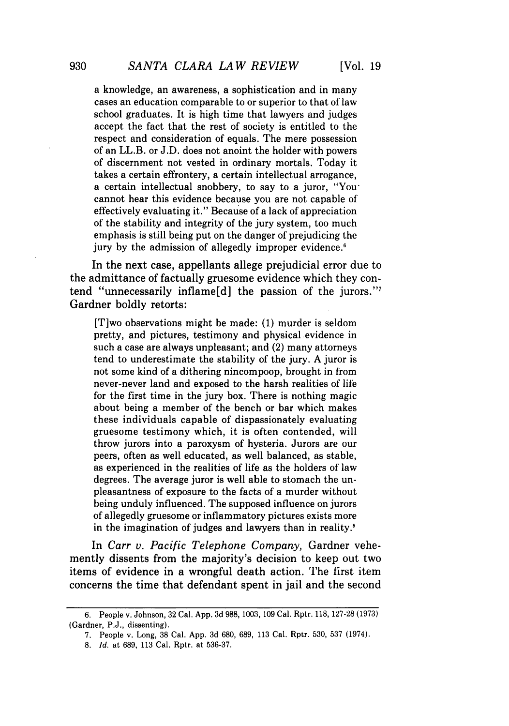**[Vol. 19**

cases an education comparable to or superior to that of law school graduates. It is high time that lawyers and judges accept the fact that the rest of society is entitled to the respect and consideration of equals. The mere possession of an LL.B. or J.D. does not anoint the holder with powers of discernment not vested in ordinary mortals. Today it takes a certain effrontery, a certain intellectual arrogance, a certain intellectual snobbery, to say to a juror, "You cannot hear this evidence because you are not capable of effectively evaluating it." Because of a lack of appreciation of the stability and integrity of the jury system, too much emphasis is still being put on the danger of prejudicing the jury by the admission of allegedly improper evidence.<sup>6</sup>

In the next case, appellants allege prejudicial error due to the admittance of factually gruesome evidence which they contend "unnecessarily inflame[d] the passion of the jurors."<sup>7</sup> Gardner boldly retorts:

[T]wo observations might be made: (1) murder is seldom pretty, and pictures, testimony and physical evidence in such a case are always unpleasant; and (2) many attorneys tend to underestimate the stability of the jury. A juror is not some kind of a dithering nincompoop, brought in from never-never land and exposed to the harsh realities of life for the first time in the jury box. There is nothing magic about being a member of the bench or bar which makes these individuals capable of dispassionately evaluating gruesome testimony which, it is often contended, will throw jurors into a paroxysm of hysteria. Jurors are our peers, often as well educated, as well balanced, as stable, as experienced in the realities of life as the holders of law degrees. The average juror is well able to stomach the unpleasantness of exposure to the facts of a murder without being unduly influenced. The supposed influence on jurors of allegedly gruesome or inflammatory pictures exists more in the imagination of judges and lawyers than in reality.<sup>8</sup>

In *Carr v. Pacific Telephone Company,* Gardner vehemently dissents from the majority's decision to keep out two items of evidence in a wrongful death action. The first item concerns the time that defendant spent in jail and the second

<sup>6.</sup> People v. Johnson, 32 Cal. App. 3d 988, 1003, 109 Cal. Rptr. 118, 127-28 (1973) (Gardner, **P.J.,** dissenting).

<sup>7.</sup> People v. Long, 38 Cal. App. 3d 680, 689, 113 Cal. Rptr. 530, 537 (1974).

<sup>8.</sup> *Id.* at 689, 113 Cal. Rptr. at 536-37.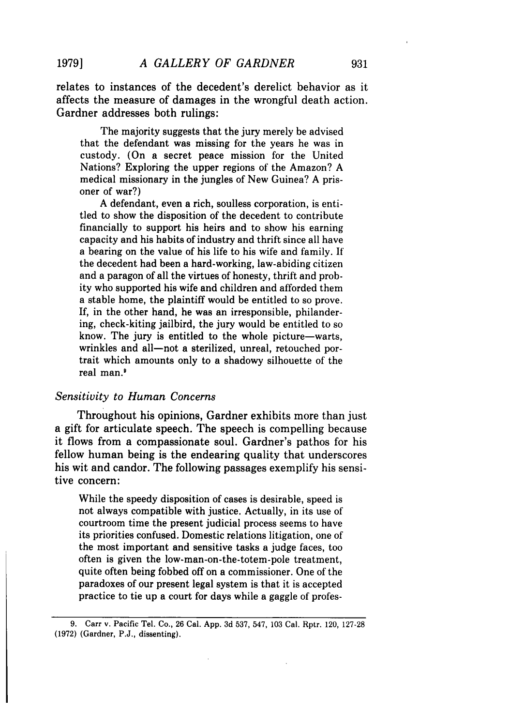relates to instances of the decedent's derelict behavior as it affects the measure of damages in the wrongful death action. Gardner addresses both rulings:

The majority suggests that the jury merely be advised that the defendant was missing for the years he was in custody. (On a secret peace mission for the United Nations? Exploring the upper regions of the Amazon? **A** medical missionary in the jungles of New Guinea? **A** prisoner of war?)

**A** defendant, even a rich, soulless corporation, is entitled to show the disposition of the decedent to contribute financially to support his heirs and to show his earning capacity and his habits of industry and thrift since all have a bearing on the value of his life to his wife and family. **It** the decedent had been a hard-working, law-abiding citizen and a paragon of all the virtues of honesty, thrift and probity who supported his wife and children and afforded them a stable home, the plaintiff would be entitled to so prove. If, in the other hand, he was an irresponsible, philandering, check-kiting jailbird, the jury would be entitled to so know. The jury is entitled to the whole picture-warts, wrinkles and all-not a sterilized, unreal, retouched portrait which amounts only to a shadowy silhouette of the real man.'

#### *Sensitivity to Human Concerns*

Throughout his opinions, Gardner exhibits more than just a gift for articulate speech. The speech is compelling because it flows from a compassionate soul. Gardner's pathos for his fellow human being is the endearing quality that underscores his wit and candor. The following passages exemplify his sensitive concern:

While the speedy disposition of cases is desirable, speed is not always compatible with justice. Actually, in its use of courtroom time the present judicial process seems to have its priorities confused. Domestic relations litigation, one of the most important and sensitive tasks a judge faces, too often is given the low-man-on-the-totem-pole treatment, quite often being fobbed off on a commissioner. One of the paradoxes of our present legal system is that it is accepted practice to tie up a court for days while a gaggle of profes-

**<sup>9.</sup>** Carr v. Pacific Tel. Co., **26** Cal. **App. 3d 537,** 547, **103** Cal. Rptr. 120, **127-28 (1972)** (Gardner, **P.J.,** dissenting).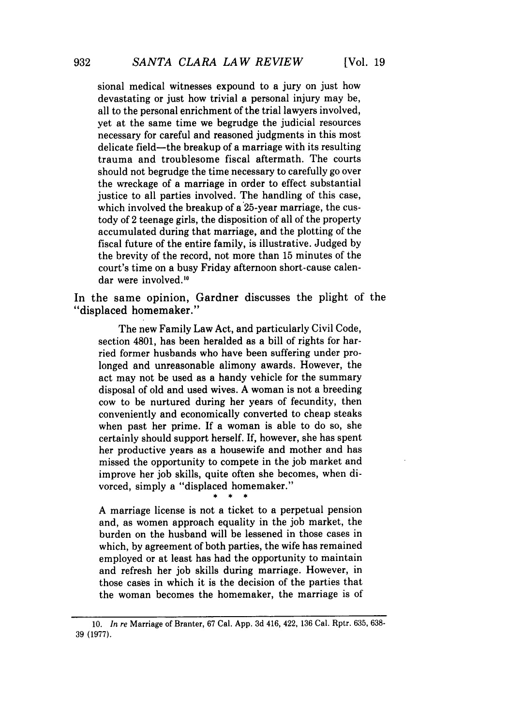sional medical witnesses expound to a jury on just how devastating or just how trivial a personal injury may be, all to the personal enrichment of the trial lawyers involved, yet at the same time we begrudge the judicial resources necessary for careful and reasoned judgments in this most delicate field—the breakup of a marriage with its resulting trauma and troublesome fiscal aftermath. The courts should not begrudge the time necessary to carefully go over the wreckage of a marriage in order to effect substantial justice to all parties involved. The handling of this case, which involved the breakup of a 25-year marriage, the custody of 2 teenage girls, the disposition of all of the property accumulated during that marriage, and the plotting of the fiscal future of the entire family, is illustrative. Judged by the brevity of the record, not more than 15 minutes of the court's time on a busy Friday afternoon short-cause calendar were involved.<sup>10</sup>

In the same opinion, Gardner discusses the plight of the "displaced homemaker."

The new Family Law Act, and particularly Civil Code, section 4801, has been heralded as a bill of rights for harried former husbands who have been suffering under prolonged and unreasonable alimony awards. However, the act may not be used as a handy vehicle for the summary disposal of old and used wives. **A** woman is not a breeding cow to be nurtured during her years of fecundity, then conveniently and economically converted to cheap steaks when past her prime. **If** a woman is able to do so, she certainly should support herself. **If,** however, she has spent her productive years as a housewife and mother and has missed the opportunity to compete in the **job** market and improve her **job** skills, quite often she becomes, when divorced, simply a "displaced homemaker."

**A** marriage license is not a ticket to a perpetual pension and, as women approach equality in the **job** market, the burden on the husband will be lessened in those cases in which, **by** agreement of both parties, the wife has remained employed or at least has had the opportunity to maintain and refresh her **job** skills during marriage. However, in those cases in which it is the decision of the parties that the woman becomes the homemaker, the marriage is of

**<sup>10.</sup>** *In re* Marriage of Branter, 67 Cal. **App. 3d** 416, 422, **136** Cal. Rptr. **635, 638-** 39 (1977).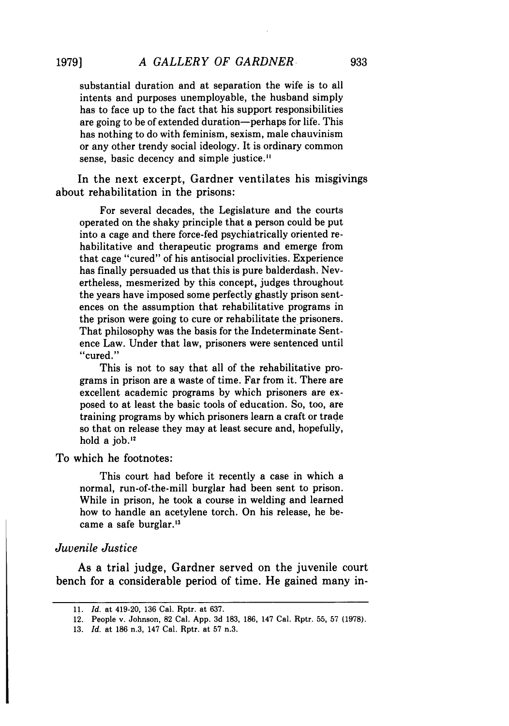substantial duration and at separation the wife is to all intents and purposes unemployable, the husband simply has to face up to the fact that his support responsibilities are going to be of extended duration-perhaps for life. This has nothing to do with feminism, sexism, male chauvinism or any other trendy social ideology. It is ordinary common sense, basic decency and simple justice."

In the next excerpt, Gardner ventilates his misgivings about rehabilitation in the prisons:

For several decades, the Legislature and the courts operated on the shaky principle that a person could be put into a cage and there force-fed psychiatrically oriented rehabilitative and therapeutic programs and emerge from that cage "cured" of his antisocial proclivities. Experience has finally persuaded us that this is pure balderdash. Nevertheless, mesmerized by this concept, judges throughout the years have imposed some perfectly ghastly prison sentences on the assumption that rehabilitative programs in the prison were going to cure or rehabilitate the prisoners. That philosophy was the basis for the Indeterminate Sentence Law. Under that law, prisoners were sentenced until "cured."

This is not to say that all of the rehabilitative programs in prison are a waste of time. Far from it. There are excellent academic programs by which prisoners are exposed to at least the basic tools of education. So, too, are training programs by which prisoners learn a craft or trade so that on release they may at least secure and, hopefully, hold a job."

To which he footnotes:

This court had before it recently a case in which a normal, run-of-the-mill burglar had been sent to prison. While in prison, he took a course in welding and learned how to handle an acetylene torch. On his release, he became a safe burglar.<sup>13</sup>

#### *Juvenile Justice*

As a trial judge, Gardner served on the juvenile court bench for a considerable period of time. He gained many in-

<sup>11.</sup> *Id.* at 419-20, 136 Cal. Rptr. at 637.

<sup>12.</sup> People v. Johnson, 82 Cal. App. 3d 183, 186, 147 Cal. Rptr. 55, 57 (1978).

<sup>13.</sup> *Id.* at 186 n.3, 147 Cal. Rptr. at 57 n.3.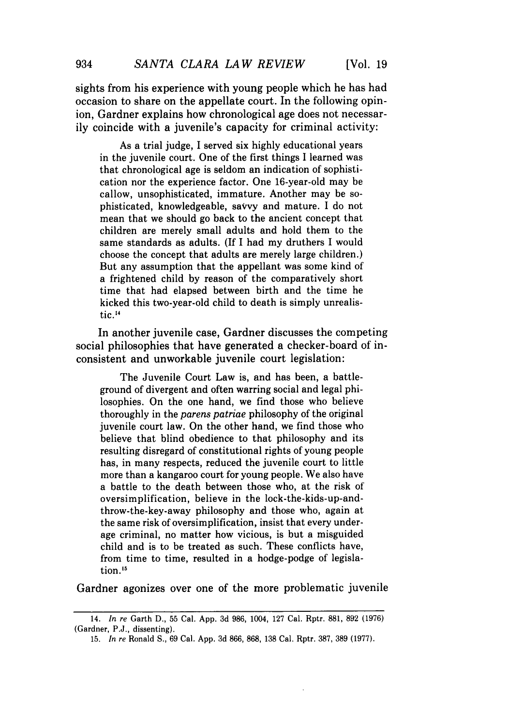sights from his experience with young people which he has had occasion to share on the appellate court. In the following opinion, Gardner explains how chronological age does not necessarily coincide with a juvenile's capacity for criminal activity:

As a trial judge, I served six highly educational years in the juvenile court. One of the first things I learned was that chronological age is seldom an indication of sophistication nor the experience factor. One 16-year-old may be callow, unsophisticated, immature. Another may be sophisticated, knowledgeable, savvy and mature. I do not mean that we should go back to the ancient concept that children are merely small adults and hold them to the same standards as adults. (If I had my druthers I would choose the concept that adults are merely large children.) But any assumption that the appellant was some kind of a frightened child by reason of the comparatively short time that had elapsed between birth and the time he kicked this two-year-old child to death is simply unrealistic.<sup>14</sup>

In another juvenile case, Gardner discusses the competing social philosophies that have generated a checker-board of inconsistent and unworkable juvenile court legislation:

The Juvenile Court Law is, and has been, a battleground of divergent and often warring social and legal philosophies. On the one hand, we find those who believe thoroughly in the *parens patriae* philosophy of the original juvenile court law. On the other hand, we find those who believe that blind obedience to that philosophy and its resulting disregard of constitutional rights of young people has, in many respects, reduced the juvenile court to little more than a kangaroo court for young people. We also have a battle to the death between those who, at the risk of oversimplification, believe in the lock-the-kids-up-andthrow-the-key-away philosophy and those who, again at the same risk of oversimplification, insist that every underage criminal, no matter how vicious, is but a misguided child and is to be treated as such. These conflicts have, from time to time, resulted in a hodge-podge of legislation.<sup>15</sup>

Gardner agonizes over one of the more problematic juvenile

<sup>14.</sup> *In re* Garth D., 55 Cal. App. 3d 986, 1004, 127 Cal. Rptr. 881, 892 (1976) (Gardner, **P.J.,** dissenting).

<sup>15.</sup> *In re* Ronald S., 69 Cal. App. 3d 866, 868, 138 Cal. Rptr. 387, 389 (1977).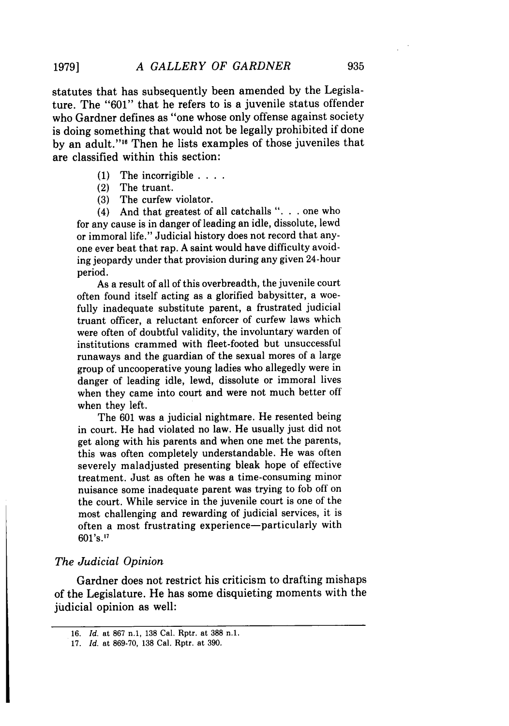statutes that has subsequently been amended by the Legislature. The "601" that he refers to is a juvenile status offender who Gardner defines as "one whose only offense against society is doing something that would not be legally prohibited if done by an adult."<sup>16</sup> Then he lists examples of those juveniles that are classified within this section:

- (1) The incorrigible **....**
- (2) The truant.
- (3) The curfew violator.

(4) And that greatest of all catchalls "... one who for any cause is in danger of leading an idle, dissolute, lewd or immoral life." Judicial history does not record that anyone ever beat that rap. A saint would have difficulty avoiding jeopardy under that provision during any given 24-hour period.

As a result of all of this overbreadth, the juvenile court often found itself acting as a glorified babysitter, a woefully inadequate substitute parent, a frustrated judicial truant officer, a reluctant enforcer of curfew laws which were often of doubtful validity, the involuntary warden of institutions crammed with fleet-footed but unsuccessful runaways and the guardian of the sexual mores of a large group of uncooperative young ladies who allegedly were in danger of leading idle, lewd, dissolute or immoral lives when they came into court and were not much better off when they left.

The 601 was a judicial nightmare. He resented being in court. He had violated no law. He usually just did not get along with his parents and when one met the parents, this was often completely understandable. He was often severely maladjusted presenting bleak hope of effective treatment. Just as often he was a time-consuming minor nuisance some inadequate parent was trying to fob off on the court. While service in the juvenile court is one of the most challenging and rewarding of judicial services, it is often a most frustrating experience-particularly with 601's.<sup>17</sup>

### *The Judicial Opinion*

Gardner does not restrict his criticism to drafting mishaps of the Legislature. He has some disquieting moments with the judicial opinion as well:

<sup>16.</sup> *Id.* at 867 n.1, 138 Cal. Rptr. at 388 n.1.

<sup>17.</sup> *Id.* at 869-70, 138 Cal. Rptr. at 390.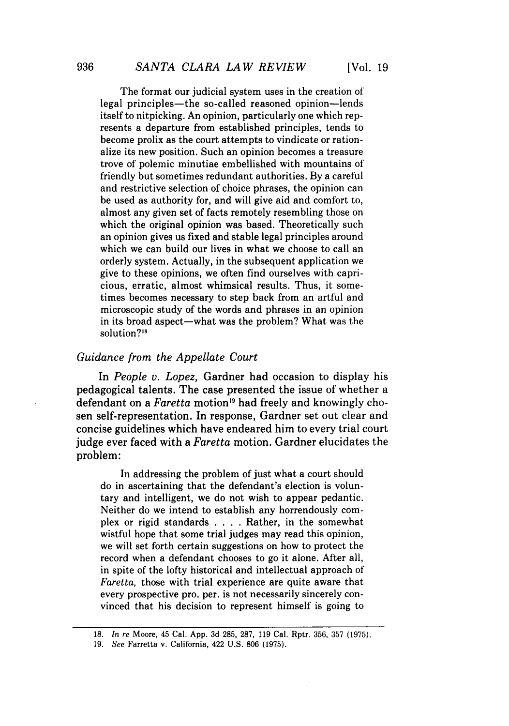The format our judicial system uses in the creation of legal principles-the so-called reasoned opinion-lends itself to nitpicking. An opinion, particularly one which represents a departure from established principles, tends to become prolix as the court attempts to vindicate or rationalize its new position. Such an opinion becomes a treasure trove of polemic minutiae embellished with mountains of' friendly but sometimes redundant authorities. By a careful and restrictive selection of choice phrases, the opinion can be used as authority for, and will give aid and comfort to, almost any given set of facts remotely resembling those on which the original opinion was based. Theoretically such an opinion gives us fixed and stable legal principles around which we can build our lives in what we choose to call an orderly system. Actually, in the subsequent application we give to these opinions, we often find ourselves with capricious, erratic, almost whimsical results. Thus, it sometimes becomes necessary to step back from an artful and microscopic study of the words and phrases in an opinion in its broad aspect—what was the problem? What was the solution?<sup>18</sup>

## *Guidance from the Appellate Court*

In *People v. Lopez,* Gardner had occasion to display his pedagogical talents. The case presented the issue of whether a defendant on a *Faretta* motion"9 had freely and knowingly chosen self-representation. In response, Gardner set out clear and concise guidelines which have endeared him to every trial court judge ever faced with a *Faretta* motion. Gardner elucidates the problem:

In addressing the problem of just what a court should do in ascertaining that the defendant's election is voluntary and intelligent, we do not wish to appear pedantic. Neither do we intend to establish any horrendously complex or rigid standards . **. .** . Rather, in the somewhat wistful hope that some trial judges may read this opinion, we will set forth certain suggestions on how to protect the record when a defendant chooses to go it alone. After all, in spite of the lofty historical and intellectual approach of *Faretta,* those with trial experience are quite aware that every prospective pro. per. is not necessarily sincerely convinced that his decision to represent himself is going to

<sup>18.</sup> *In re* Moore, 45 Cal. App. 3d 285, 287, 119 Cal. Rptr. 356, 357 (1975).

<sup>19.</sup> *See* Farretta v. California, 422 U.S. 806 (1975).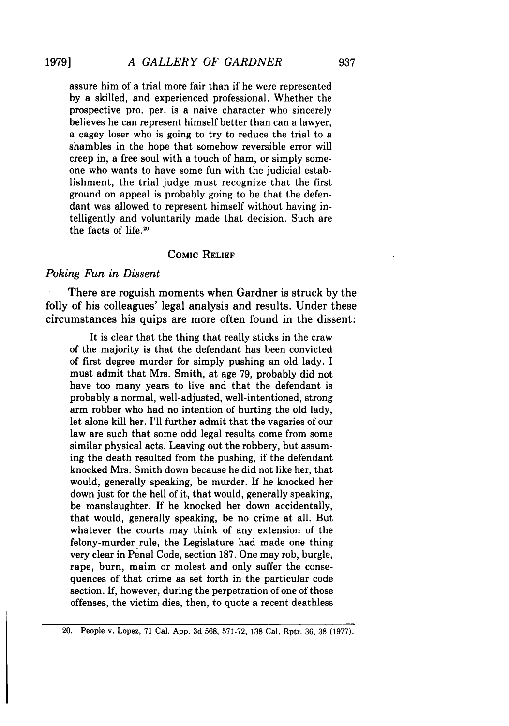assure him of a trial more fair than if he were represented by a skilled, and experienced professional. Whether the prospective pro. per. is a naive character who sincerely believes he can represent himself better than can a lawyer, a cagey loser who is going to try to reduce the trial to a shambles in the hope that somehow reversible error will creep in, a free soul with a touch of ham, or simply someone who wants to have some fun with the judicial establishment, the trial judge must recognize that the first ground on appeal is probably going to be that the defendant was allowed to represent himself without having intelligently and voluntarily made that decision. Such are the facts of life.<sup>20</sup>

## COMIC RELIEF

#### *Poking Fun in Dissent*

There are roguish moments when Gardner is struck by the folly of his colleagues' legal analysis and results. Under these circumstances his quips are more often found in the dissent:

It is clear that the thing that really sticks in the craw of the majority is that the defendant has been convicted of first degree murder for simply pushing an old lady. I must admit that Mrs. Smith, at age 79, probably did not have too many years to live and that the defendant is probably a normal, well-adjusted, well-intentioned, strong arm robber who had no intention of hurting the old lady, let alone kill her. I'll further admit that the vagaries of our law are such that some odd legal results come from some similar physical acts. Leaving out the robbery, but assuming the death resulted from the pushing, if the defendant knocked Mrs. Smith down because he did not like her, that would, generally speaking, be murder. If he knocked her down just for the hell of it, that would, generally speaking, be manslaughter. If he knocked her down accidentally, that would, generally speaking, be no crime at all. But whatever the courts may think of any extension of the felony-murder rule, the Legislature had made one thing very clear in Penal Code, section 187. One may rob, burgle, rape, burn, maim or molest and only suffer the consequences of that crime as set forth in the particular code section. If, however, during the perpetration of one of those offenses, the victim dies, then, to quote a recent deathless

<sup>20.</sup> People v. Lopez, 71 Cal. App. 3d 568, 571-72, 138 Cal. Rptr. 36, 38 (1977).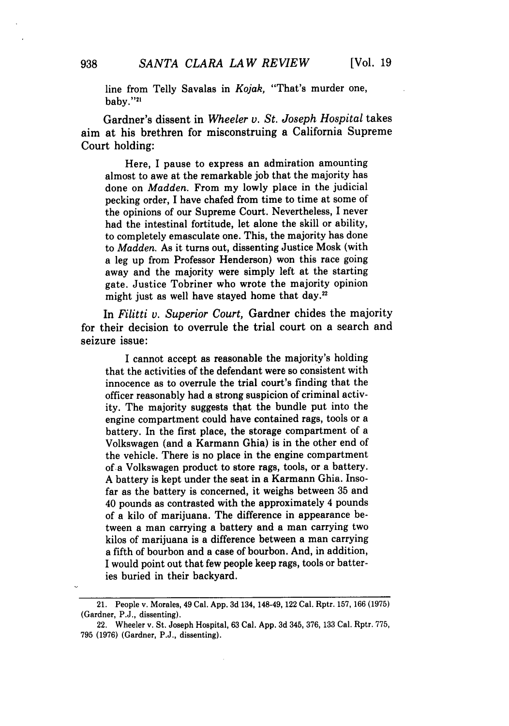line from Telly Savalas in *Kojak,* "That's murder one, baby."21

Gardner's dissent in *Wheeler v. St. Joseph Hospital* takes aim at his brethren for misconstruing a California Supreme Court holding:

Here, I pause to express an admiration amounting almost to awe at the remarkable **job** that the majority has done on *Madden.* From my lowly place in the judicial pecking order, **I** have chafed from time to time at some of the opinions of our Supreme Court. Nevertheless, I never had the intestinal fortitude, let alone the skill or ability, to completely emasculate one. This, the majority has done to *Madden.* As it turns out, dissenting Justice Mosk (with a leg up from Professor Henderson) won this race going away and the majority were simply left at the starting gate. Justice Tobriner who wrote the majority opinion might just as well have stayed home that day.<sup>22</sup>

In *Filitti v. Superior Court,* Gardner chides the majority for their decision to overrule the trial court on a search and seizure issue:

I cannot accept as reasonable the majority's holding that the activities of the defendant were so consistent with innocence as to overrule the trial court's finding that the officer reasonably had a strong suspicion of criminal activity. The majority suggests that the bundle put into the engine compartment could have contained rags, tools or a battery. In the first place, the storage compartment of a Volkswagen (and a Karmann Ghia) is in the other end of the vehicle. There is no place in the engine compartment of-a Volkswagen product to store rags, tools, or a battery. **A** battery is kept under the seat in a Karmann Ghia. Insofar as the battery is concerned, it weighs between **35** and 40 pounds as contrasted with the approximately 4 pounds of a kilo of marijuana. The difference in appearance between a man carrying a battery and a man carrying two kilos of marijuana is a difference between a man carrying a fifth of bourbon and a case of bourbon. And, in addition, I would point out that few people keep rags, tools or batteries buried in their backyard.

<sup>21.</sup> People v. Morales, 49 Cal. **App. 3d** 134, 148-49, 122 Cal. Rptr. **157, 166 (1975)** (Gardner, **P.J.,** dissenting).

<sup>22.</sup> Wheeler v. St. Joseph Hospital, **63** Cal. **App. 3d** 345, **376, 133** Cal. Rptr. **775, 795 (1976)** (Gardner, **P.J.,** dissenting).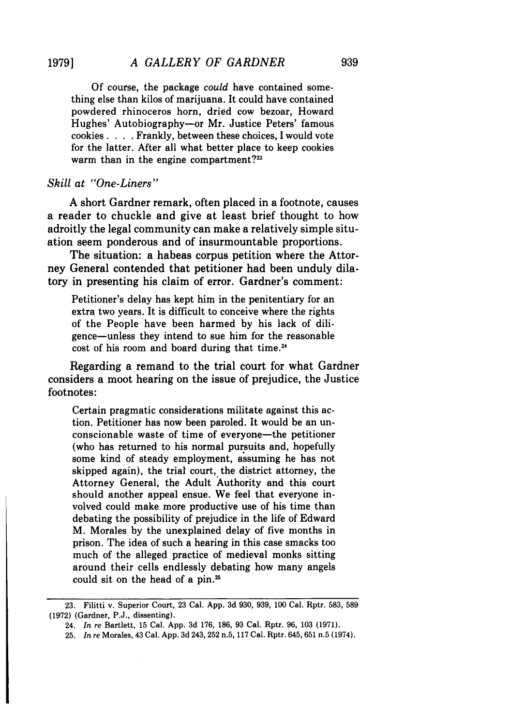Of course, the package *could* have contained something else than kilos of marijuana. It could have contained powdered rhinoceros horn, dried cow bezoar, Howard Hughes' Autobiography-or Mr. Justice Peters' famous cookies. . **.** . Frankly, between these choices, I would vote for the latter. After all what better place to keep cookies warm than in the engine compartment? $23$ 

## *Skill at "One-Liners"*

A short Gardner remark, often placed in a footnote, causes a reader to chuckle and give at least brief thought to how adroitly the legal community can make a relatively simple situation seem ponderous and of insurmountable proportions.

The situation: a habeas corpus petition where the Attorney General contended that petitioner had been unduly dilatory in presenting his claim of error. Gardner's comment:

Petitioner's delay has kept him in the penitentiary for an extra two years. It is difficult to conceive where the rights of the People have been harmed by his lack of diligence-unless they intend to sue him for the reasonable cost of his room and board during that time. <sup>24</sup>

Regarding a remand to the trial court for what Gardner considers a moot hearing on the issue of prejudice, the Justice footnotes:

Certain pragmatic considerations militate against this action. Petitioner has now been paroled. It would be an unconscionable waste of time of everyone-the petitioner (who has returned to his normal pursuits and, hopefully some kind of steady employment, assuming he has not skipped again), the trial court, the district attorney, the Attorney General, the Adult Authority and this court should another appeal ensue. We feel that everyone involved could make more productive use of his time than debating the possibility of prejudice in the life of Edward M. Morales by the unexplained delay of five months in prison. The idea of such a hearing in this case smacks too much of the alleged practice of medieval monks sitting around their cells endlessly debating how many angels could sit on the head of a pin.<sup>25</sup>

<sup>23.</sup> Filitti v. Superior Court, 23 Cal. App. 3d 930, 939, 100 Cal. Rptr. 583, 589 (1972) (Gardner, P.J., dissenting).

<sup>24.</sup> *In re* Bartlett, 15 Cal. App. 3d 176, 186, 93 Cal. Rptr. 96, 103 (1971).

<sup>25.</sup> *In re* Morales, 43 Cal. App. 3d 243, 252 n.5, 117 Cal. Rptr. 645, 651 n.5 (1974).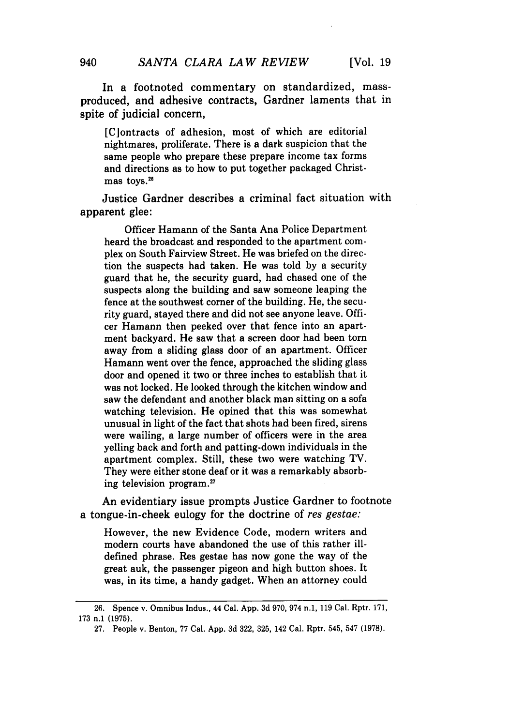In a footnoted commentary on standardized, massproduced, and adhesive contracts, Gardner laments that in spite of judicial concern,

[C]ontracts of adhesion, most of which are editorial nightmares, proliferate. There is a dark suspicion that the same people who prepare these prepare income tax forms and directions as to how to put together packaged Christmas toys.<sup>26</sup>

Justice Gardner describes a criminal fact situation with apparent glee:

Officer Hamann of the Santa Ana Police Department heard the broadcast and responded to the apartment complex on South Fairview Street. He was briefed on the direction the suspects had taken. He was told by a security guard that he, the security guard, had chased one of the suspects along the building and saw someone leaping the fence at the southwest corner of the building. He, the security guard, stayed there and did not see anyone leave. Officer Hamann then peeked over that fence into an apartment backyard. He saw that a screen door had been torn away from a sliding glass door of an apartment. Officer Hamann went over the fence, approached the sliding glass door and opened it two or three inches to establish that it was not locked. He looked through the kitchen window and saw the defendant and another black man sitting on a sofa watching television. He opined that this was somewhat unusual in light of the fact that shots had been fired, sirens were wailing, a large number of officers were in the area yelling back and forth and patting-down individuals in the apartment complex. Still, these two were watching TV. They were either stone deaf or it was a remarkably absorbing television program.27

An evidentiary issue prompts Justice Gardner to footnote a tongue-in-cheek eulogy for the doctrine of res gestae:

However, the new Evidence Code, modern writers and modern courts have abandoned the use of this rather illdefined phrase. Res gestae has now gone the way of the great auk, the passenger pigeon and high button shoes. It was, in its time, a handy gadget. When an attorney could

940

<sup>26.</sup> Spence v. Omnibus Indus., 44 Cal. App. 3d 970, 974 n.1, 119 Cal. Rptr. 171, 173 n.1 (1975).

<sup>27.</sup> People v. Benton, 77 Cal. App. 3d 322, 325, 142 Cal. Rptr. 545, 547 (1978).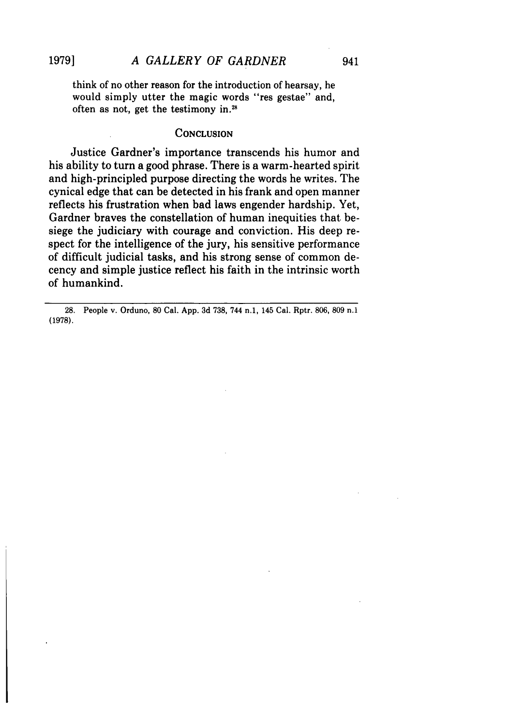think of no other reason for the introduction of hearsay, he would simply utter the magic words "res gestae" and, often as not, get the testimony in.<sup>28</sup>

#### **CONCLUSION**

Justice Gardner's importance transcends his humor and his ability to turn a good phrase. There is a warm-hearted spirit and high-principled purpose directing the words he writes. The cynical edge that can be detected in his frank and open manner reflects his frustration when bad laws engender hardship. Yet, Gardner braves the constellation of human inequities that besiege the judiciary with courage and conviction. His deep respect for the intelligence of the jury, his sensitive performance of difficult judicial tasks, and his strong sense of common decency and simple justice reflect his faith in the intrinsic worth of humankind.

**28.** People v. Orduno, **80** Cal. **App. 3d 738,** 744 **n.1,** 145 Cal. Rptr. **806, 809** n.1 **(1978).**